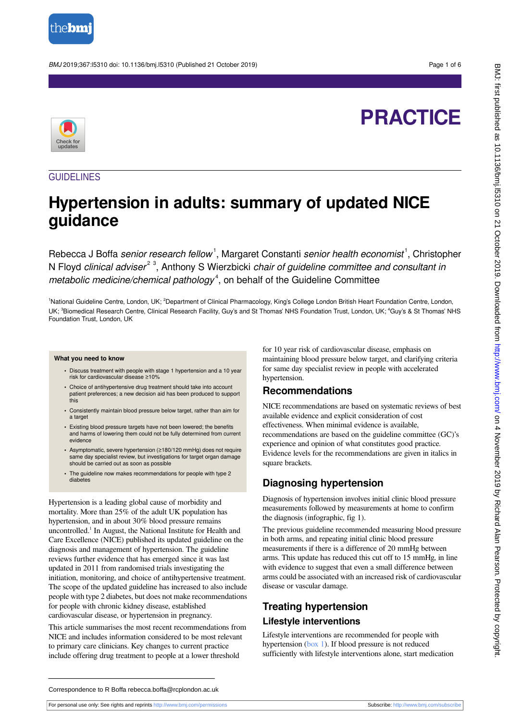

BMJ 2019;367:l5310 doi: 10.1136/bmj.l5310 (Published 21 October 2019) Page 1 of 6

# **PRACTICE**



## GUIDELINES

## **Hypertension in adults: summary of updated NICE guidance**

Rebecca J Boffa senior research fellow<sup>1</sup>, Margaret Constanti senior health economist<sup>1</sup>, Christopher N Floyd clinical adviser<sup>23</sup>, Anthony S Wierzbicki chair of guideline committee and consultant in metabolic medicine/chemical pathology<sup>4</sup>, on behalf of the Guideline Committee

<sup>1</sup>National Guideline Centre, London, UK; <sup>2</sup>Department of Clinical Pharmacology, King's College London British Heart Foundation Centre, London, UK; <sup>3</sup>Biomedical Research Centre, Clinical Research Facility, Guy's and St Thomas' NHS Foundation Trust, London, UK; <sup>4</sup>Guy's & St Thomas' NHS Foundation Trust, London, UK

#### **What you need to know**

- **•** Discuss treatment with people with stage 1 hypertension and a 10 year risk for cardiovascular disease ≥10%
- **•** Choice of antihypertensive drug treatment should take into account patient preferences; a new decision aid has been produced to support this
- **•** Consistently maintain blood pressure below target, rather than aim for a target
- **•** Existing blood pressure targets have not been lowered; the benefits and harms of lowering them could not be fully determined from current evidence
- **•** Asymptomatic, severe hypertension (≥180/120 mmHg) does not require same day specialist review, but investigations for target organ damage should be carried out as soon as possible
- **•** The guideline now makes recommendations for people with type 2 diabetes

Hypertension is a leading global cause of morbidity and mortality. More than 25% of the adult UK population has hypertension, and in about 30% blood pressure remains uncontrolled.<sup>1</sup> In August, the National Institute for Health and Care Excellence (NICE) published its updated guideline on the diagnosis and management of hypertension. The guideline reviews further evidence that has emerged since it was last updated in 2011 from randomised trials investigating the initiation, monitoring, and choice of antihypertensive treatment. The scope of the updated guideline has increased to also include people with type 2 diabetes, but does not make recommendations for people with chronic kidney disease, established cardiovascular disease, or hypertension in pregnancy.

This article summarises the most recent recommendations from NICE and includes information considered to be most relevant to primary care clinicians. Key changes to current practice include offering drug treatment to people at a lower threshold

for 10 year risk of cardiovascular disease, emphasis on maintaining blood pressure below target, and clarifying criteria for same day specialist review in people with accelerated hypertension.

## **Recommendations**

NICE recommendations are based on systematic reviews of best available evidence and explicit consideration of cost effectiveness. When minimal evidence is available, recommendations are based on the guideline committee (GC)'s experience and opinion of what constitutes good practice. Evidence levels for the recommendations are given in italics in square brackets.

## **Diagnosing hypertension**

Diagnosis of hypertension involves initial clinic blood pressure measurements followed by measurements at home to confirm the diagnosis (infographic, fig 1).

The previous guideline recommended measuring blood pressure in both arms, and repeating initial clinic blood pressure measurements if there is a difference of 20 mmHg between arms. This update has reduced this cut off to 15 mmHg, in line with evidence to suggest that even a small difference between arms could be associated with an increased risk of cardiovascular disease or vascular damage.

## **Treating hypertension Lifestyle interventions**

Lifestyle interventions are recommended for people with hypertension [\(box 1\)](#page-1-0). If blood pressure is not reduced sufficiently with lifestyle interventions alone, start medication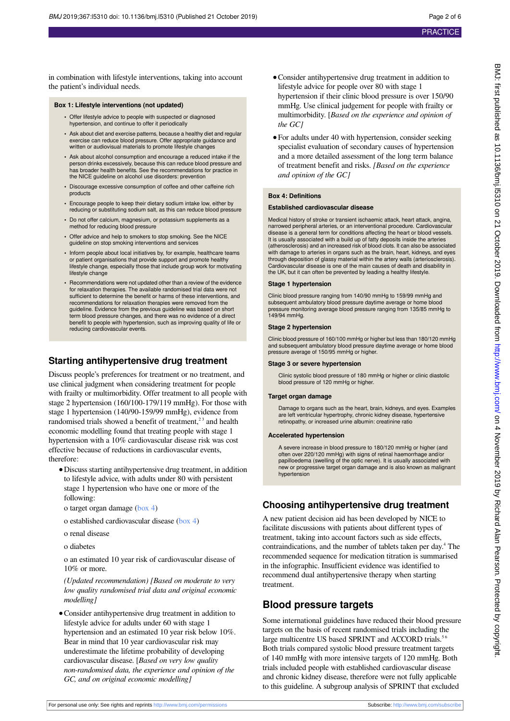in combination with lifestyle interventions, taking into account the patient's individual needs.

#### <span id="page-1-0"></span>**Box 1: Lifestyle interventions (not updated)**

- **•** Offer lifestyle advice to people with suspected or diagnosed hypertension, and continue to offer it periodically
- **•** Ask about diet and exercise patterns, because a healthy diet and regular exercise can reduce blood pressure. Offer appropriate guidance and written or audiovisual materials to promote lifestyle changes
- **•** Ask about alcohol consumption and encourage a reduced intake if the person drinks excessively, because this can reduce blood pressure and has broader health benefits. See the recommendations for practice in the NICE guideline on alcohol use disorders: prevention
- **•** Discourage excessive consumption of coffee and other caffeine rich products
- **•** Encourage people to keep their dietary sodium intake low, either by reducing or substituting sodium salt, as this can reduce blood pressure
- **•** Do not offer calcium, magnesium, or potassium supplements as a method for reducing blood pressure
- **•** Offer advice and help to smokers to stop smoking. See the NICE guideline on stop smoking interventions and services
- **•** Inform people about local initiatives by, for example, healthcare teams or patient organisations that provide support and promote healthy lifestyle change, especially those that include group work for motivating lifestyle change
- **•** Recommendations were not updated other than a review of the evidence for relaxation therapies. The available randomised trial data were not sufficient to determine the benefit or harms of these interventions, and recommendations for relaxation therapies were removed from the guideline. Evidence from the previous guideline was based on short term blood pressure changes, and there was no evidence of a direct benefit to people with hypertension, such as improving quality of life or reducing cardiovascular events.

## **Starting antihypertensive drug treatment**

Discuss people's preferences for treatment or no treatment, and use clinical judgment when considering treatment for people with frailty or multimorbidity. Offer treatment to all people with stage 2 hypertension (160/100-179/119 mmHg). For those with stage 1 hypertension (140/90-159/99 mmHg), evidence from randomised trials showed a benefit of treatment,<sup>23</sup> and health economic modelling found that treating people with stage 1 hypertension with a 10% cardiovascular disease risk was cost effective because of reductions in cardiovascular events, therefore:

- **•**Discuss starting antihypertensive drug treatment, in addition to lifestyle advice, with adults under 80 with persistent stage 1 hypertension who have one or more of the following:
- o target organ damage ([box 4](#page-1-1))
- o established cardiovascular disease ([box 4](#page-1-1))
- o renal disease
- o diabetes

o an estimated 10 year risk of cardiovascular disease of 10% or more.

*(Updated recommendation) [Based on moderate to very low quality randomised trial data and original economic modelling]*

**•**Consider antihypertensive drug treatment in addition to lifestyle advice for adults under 60 with stage 1 hypertension and an estimated 10 year risk below 10%. Bear in mind that 10 year cardiovascular risk may underestimate the lifetime probability of developing cardiovascular disease. [*Based on very low quality non-randomised data, the experience and opinion of the GC, and on original economic modelling]*

- **•**Consider antihypertensive drug treatment in addition to lifestyle advice for people over 80 with stage 1 hypertension if their clinic blood pressure is over 150/90 mmHg. Use clinical judgement for people with frailty or multimorbidity. [*Based on the experience and opinion of the GC]*
- **•**For adults under 40 with hypertension, consider seeking specialist evaluation of secondary causes of hypertension and a more detailed assessment of the long term balance of treatment benefit and risks. *[Based on the experience and opinion of the GC]*

#### <span id="page-1-1"></span>**Box 4: Definitions**

#### **Established cardiovascular disease**

Medical history of stroke or transient ischaemic attack, heart attack, angina, narrowed peripheral arteries, or an interventional procedure. Cardiovascular disease is a general term for conditions affecting the heart or blood vessels. It is usually associated with a build up of fatty deposits inside the arteries (atherosclerosis) and an increased risk of blood clots. It can also be associated with damage to arteries in organs such as the brain, heart, kidneys, and eyes through deposition of glassy material within the artery walls (arteriosclerosis). Cardiovascular disease is one of the main causes of death and disability in the UK, but it can often be prevented by leading a healthy lifestyle.

#### **Stage 1 hypertension**

Clinic blood pressure ranging from 140/90 mmHg to 159/99 mmHg and subsequent ambulatory blood pressure daytime average or home blood pressure monitoring average blood pressure ranging from 135/85 mmHg to 149/94 mmHg.

#### **Stage 2 hypertension**

Clinic blood pressure of 160/100 mmHg or higher but less than 180/120 mmHg and subsequent ambulatory blood pressure daytime average or home blood pressure average of 150/95 mmHg or higher.

#### **Stage 3 or severe hypertension**

Clinic systolic blood pressure of 180 mmHg or higher or clinic diastolic blood pressure of 120 mmHg or higher.

#### **Target organ damage**

Damage to organs such as the heart, brain, kidneys, and eyes. Examples are left ventricular hypertrophy, chronic kidney disease, hypertensive retinopathy, or increased urine albumin: creatinine ratio

#### **Accelerated hypertension**

A severe increase in blood pressure to 180/120 mmHg or higher (and often over 220/120 mmHg) with signs of retinal haemorrhage and/or papilloedema (swelling of the optic nerve). It is usually associated with new or progressive target organ damage and is also known as malignant hypertension

## **Choosing antihypertensive drug treatment**

A new patient decision aid has been developed by NICE to facilitate discussions with patients about different types of treatment, taking into account factors such as side effects, contraindications, and the number of tablets taken per day.<sup>4</sup> The recommended sequence for medication titration is summarised in the infographic. Insufficient evidence was identified to recommend dual antihypertensive therapy when starting treatment.

## **Blood pressure targets**

Some international guidelines have reduced their blood pressure targets on the basis of recent randomised trials including the large multicentre US based SPRINT and ACCORD trials.<sup>56</sup> Both trials compared systolic blood pressure treatment targets of 140 mmHg with more intensive targets of 120 mmHg. Both trials included people with established cardiovascular disease and chronic kidney disease, therefore were not fully applicable to this guideline. A subgroup analysis of SPRINT that excluded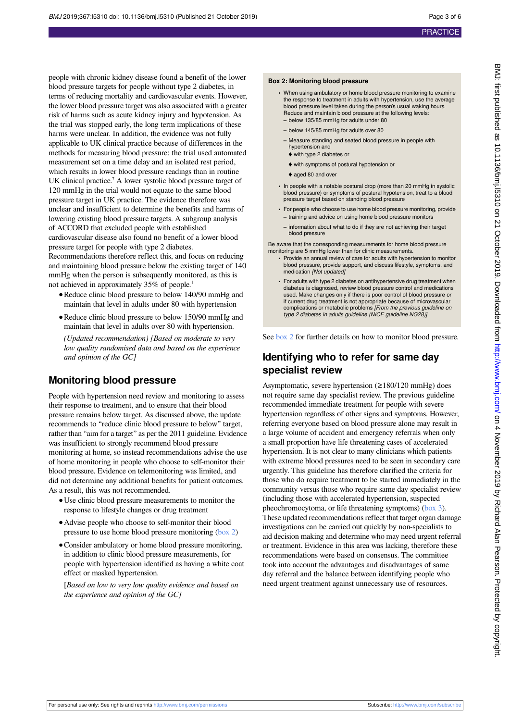people with chronic kidney disease found a benefit of the lower blood pressure targets for people without type 2 diabetes, in terms of reducing mortality and cardiovascular events. However, the lower blood pressure target was also associated with a greater risk of harms such as acute kidney injury and hypotension. As the trial was stopped early, the long term implications of these harms were unclear. In addition, the evidence was not fully applicable to UK clinical practice because of differences in the methods for measuring blood pressure: the trial used automated measurement set on a time delay and an isolated rest period, which results in lower blood pressure readings than in routine UK clinical practice.<sup>7</sup> A lower systolic blood pressure target of 120 mmHg in the trial would not equate to the same blood pressure target in UK practice. The evidence therefore was unclear and insufficient to determine the benefits and harms of lowering existing blood pressure targets. A subgroup analysis of ACCORD that excluded people with established cardiovascular disease also found no benefit of a lower blood pressure target for people with type 2 diabetes. Recommendations therefore reflect this, and focus on reducing and maintaining blood pressure below the existing target of 140 mmHg when the person is subsequently monitored, as this is not achieved in approximately 35% of people.<sup>1</sup>

- **•**Reduce clinic blood pressure to below 140/90 mmHg and maintain that level in adults under 80 with hypertension
- **•**Reduce clinic blood pressure to below 150/90 mmHg and maintain that level in adults over 80 with hypertension. *(Updated recommendation) [Based on moderate to very low quality randomised data and based on the experience and opinion of the GC]*

## **Monitoring blood pressure**

People with hypertension need review and monitoring to assess their response to treatment, and to ensure that their blood pressure remains below target. As discussed above, the update recommends to "reduce clinic blood pressure to below" target, rather than "aim for a target" as per the 2011 guideline. Evidence was insufficient to strongly recommend blood pressure monitoring at home, so instead recommendations advise the use of home monitoring in people who choose to self-monitor their blood pressure. Evidence on telemonitoring was limited, and did not determine any additional benefits for patient outcomes. As a result, this was not recommended.

- **•**Use clinic blood pressure measurements to monitor the response to lifestyle changes or drug treatment
- **•**Advise people who choose to self-monitor their blood pressure to use home blood pressure monitoring [\(box 2](#page-2-0))
- **•**Consider ambulatory or home blood pressure monitoring, in addition to clinic blood pressure measurements, for people with hypertension identified as having a white coat effect or masked hypertension.

[*Based on low to very low quality evidence and based on the experience and opinion of the GC]*

#### <span id="page-2-0"></span>**Box 2: Monitoring blood pressure**

- **•** When using ambulatory or home blood pressure monitoring to examine the response to treatment in adults with hypertension, use the average blood pressure level taken during the person's usual waking hours. Reduce and maintain blood pressure at the following levels: **–** below 135/85 mmHg for adults under 80
- **–** below 145/85 mmHg for adults over 80
- **–** Measure standing and seated blood pressure in people with hypertension and
- **♦** with type 2 diabetes or
- **♦** with symptoms of postural hypotension or
- **♦** aged 80 and over
- **•** In people with a notable postural drop (more than 20 mmHg in systolic blood pressure) or symptoms of postural hypotension, treat to a blood pressure target based on standing blood pressure
- **•** For people who choose to use home blood pressure monitoring, provide **–** training and advice on using home blood pressure monitors
- **–** information about what to do if they are not achieving their target blood pressure

Be aware that the corresponding measurements for home blood pressure monitoring are 5 mmHg lower than for clinic measurements.

- **•** Provide an annual review of care for adults with hypertension to monitor blood pressure, provide support, and discuss lifestyle, symptoms, and medication [Not updated]
- **•** For adults with type 2 diabetes on antihypertensive drug treatment when diabetes is diagnosed, review blood pressure control and medications used. Make changes only if there is poor control of blood pressure or if current drug treatment is not appropriate because of microvascular complications or metabolic problems [From the previous guideline on type 2 diabetes in adults guideline (NICE guideline NG28)]

See [box 2](#page-2-0) for further details on how to monitor blood pressure.

## **Identifying who to refer for same day specialist review**

Asymptomatic, severe hypertension (≥180/120 mmHg) does not require same day specialist review. The previous guideline recommended immediate treatment for people with severe hypertension regardless of other signs and symptoms. However, referring everyone based on blood pressure alone may result in a large volume of accident and emergency referrals when only a small proportion have life threatening cases of accelerated hypertension. It is not clear to many clinicians which patients with extreme blood pressures need to be seen in secondary care urgently. This guideline has therefore clarified the criteria for those who do require treatment to be started immediately in the community versus those who require same day specialist review (including those with accelerated hypertension, suspected pheochromocytoma, or life threatening symptoms) ([box 3](#page-3-0)). These updated recommendations reflect that target organ damage investigations can be carried out quickly by non-specialists to aid decision making and determine who may need urgent referral or treatment. Evidence in this area was lacking, therefore these recommendations were based on consensus. The committee took into account the advantages and disadvantages of same day referral and the balance between identifying people who need urgent treatment against unnecessary use of resources.

For personal use only: See rights and reprints<http://www.bmj.com/permissions> Subscribe: <http://www.bmj.com/subscribe>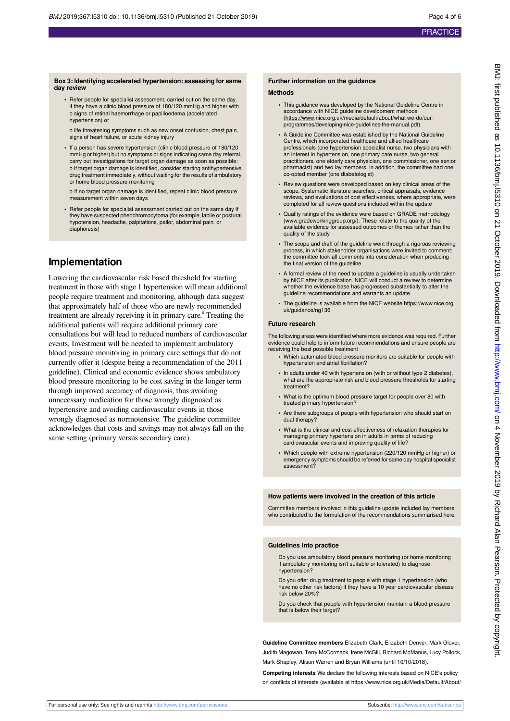<span id="page-3-0"></span>**Box 3: Identifying accelerated hypertension: assessing for same**

**•** Refer people for specialist assessment, carried out on the same day, if they have a clinic blood pressure of 180/120 mmHg and higher with

**day review**

### o signs of retinal haemorrhage or papilloedema (accelerated hypertension) or o life threatening symptoms such as new onset confusion, chest pain, signs of heart failure, or acute kidney injury **•** If a person has severe hypertension (clinic blood pressure of 180/120 mmHg or higher) but no symptoms or signs indicating same day referral, carry out investigations for target organ damage as soon as possible: o If target organ damage is identified, consider starting antihypertensive drug treatment immediately, without waiting for the results of ambulatory or home blood pressure monitoring o If no target organ damage is identified, repeat clinic blood pressure measurement within seven days **•** Refer people for specialist assessment carried out on the same day if they have suspected pheochromocytoma (for example, labile or postural hypotension, headache, palpitations, pallor, abdominal pain, or diaphoresis) **Implementation** Lowering the cardiovascular risk based threshold for starting

treatment in those with stage 1 hypertension will mean additional people require treatment and monitoring, although data suggest that approximately half of those who are newly recommended treatment are already receiving it in primary care.<sup>8</sup> Treating the additional patients will require additional primary care consultations but will lead to reduced numbers of cardiovascular events. Investment will be needed to implement ambulatory blood pressure monitoring in primary care settings that do not currently offer it (despite being a recommendation of the 2011 guideline). Clinical and economic evidence shows ambulatory blood pressure monitoring to be cost saving in the longer term through improved accuracy of diagnosis, thus avoiding unnecessary medication for those wrongly diagnosed as hypertensive and avoiding cardiovascular events in those wrongly diagnosed as normotensive. The guideline committee acknowledges that costs and savings may not always fall on the same setting (primary versus secondary care).

#### **Further information on the guidance**

#### **Methods**

- **•** This guidance was developed by the National Guideline Centre in accordance with NICE guideline development methods (https://www.[nice.org.uk/media/default/about/what-we-do/our](http://nice.org.uk/media/default/about/what-we-do/our-programmes/developing-nice-guidelines-the-manual.pdf)[programmes/developing-nice-guidelines-the-manual.pdf\)](http://nice.org.uk/media/default/about/what-we-do/our-programmes/developing-nice-guidelines-the-manual.pdf)
- **•** A Guideline Committee was established by the National Guideline Centre, which incorporated healthcare and allied healthcare professionals (one hypertension specialist nurse, two physicians with an interest in hypertension, one primary care nurse, two general practitioners, one elderly care physician, one commissioner, one senior pharmacist) and two lay members. In addition, the committee had one co-opted member (one diabetologist)
- **•** Review questions were developed based on key clinical areas of the scope. Systematic literature searches, critical appraisals, evidence reviews, and evaluations of cost effectiveness, where appropriate, were completed for all review questions included within the update
- **•** Quality ratings of the evidence were based on GRADE methodology [\(www.gradeworkinggroup.org/](http://www.gradeworkinggroup.org/)). These relate to the quality of the available evidence for assessed outcomes or themes rather than the quality of the study
- **•** The scope and draft of the guideline went through a rigorous reviewing process, in which stakeholder organisations were invited to comment; the committee took all comments into consideration when producing the final version of the guideline
- **•** A formal review of the need to update a guideline is usually undertaken by NICE after its publication. NICE will conduct a review to determine whether the evidence base has progressed substantially to alter the guideline recommendations and warrants an update
- **•** The guideline is available from the NICE website https://www.nice.org. uk/guidance/ng136

#### **Future research**

The following areas were identified where more evidence was required. Further evidence could help to inform future recommendations and ensure people are receiving the best possible treatment

- **•** Which automated blood pressure monitors are suitable for people with hypertension and atrial fibrillation?
- **•** In adults under 40 with hypertension (with or without type 2 diabetes), what are the appropriate risk and blood pressure thresholds for starting treatment?
- **•** What is the optimum blood pressure target for people over 80 with treated primary hypertension?
- **•** Are there subgroups of people with hypertension who should start on dual therapy?
- **•** What is the clinical and cost effectiveness of relaxation therapies for managing primary hypertension in adults in terms of reducing cardiovascular events and improving quality of life?
- **•** Which people with extreme hypertension (220/120 mmHg or higher) or emergency symptoms should be referred for same day hospital specialist assessment?

#### **How patients were involved in the creation of this article**

Committee members involved in this guideline update included lay members who contributed to the formulation of the recommendations summarised here.

#### **Guidelines into practice**

Do you use ambulatory blood pressure monitoring (or home monitoring if ambulatory monitoring isn't suitable or tolerated) to diagnose hypertension?

Do you offer drug treatment to people with stage 1 hypertension (who have no other risk factors) if they have a 10 year cardiovascular disease risk below 20%?

Do you check that people with hypertension maintain a blood pressure that is below their target?

**Guideline Committee members** Elizabeth Clark, Elizabeth Denver, Mark Glover, Judith Magowan, Terry McCormack, Irene McGill, Richard McManus, Lucy Pollock, Mark Shapley, Alison Warren and Bryan Williams (until 10/10/2018).

**Competing interests** We declare the following interests based on NICE's policy on conflicts of interests (available at https://www.nice.org.uk/Media/Default/About/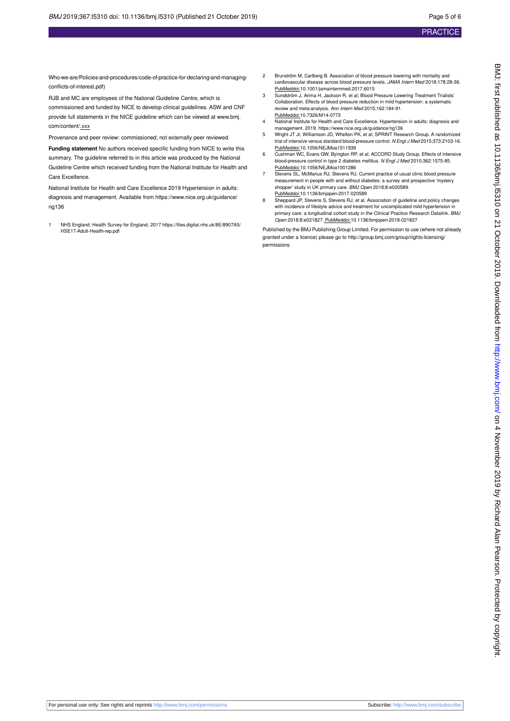Who-we-are/Policies-and-procedures/code-of-practice-for-declaring-and-managingconflicts-of-interest.pdf)

RJB and MC are employees of the National Guideline Centre, which is commissioned and funded by NICE to develop clinical guidelines. ASW and CNF provide full statements in the NICE guideline which can be viewed at [www.bmj.](http://www.bmj.com/content/) [com/content/](http://www.bmj.com/content/).xxx

Provenance and peer review: commissioned; not externally peer reviewed.

**Funding statement** No authors received specific funding from NICE to write this summary. The guideline referred to in this article was produced by the National Guideline Centre which received funding from the National Institute for Health and Care Excellence.

National Institute for Health and Care Excellence 2019 Hypertension in adults: diagnosis and management. Available from https://www.nice.org.uk/guidance/ ng136

1 NHS England. Health Survey for England. 2017 https://files.digital.nhs.uk/8E/8907A5/ HSE17-Adult-Health-rep.pdf

- 2 Brunström M, Carlberg B. Association of blood pressure lowering with mortality and cardiovascular disease across blood pressure levels. JAMA Intern Med 2018;178:28-36. PubMeddoi:10.1001/jamainternmed.2017.6015
- 3 Sundström J, Arima H, Jackson R, et al; Blood Pressure Lowering Treatment Trialists' Collaboration. Effects of blood pressure reduction in mild hypertension: a systematic review and meta-analysis. Ann Intern Med 2015;162:184-91. PubMeddoi:10.7326/M14-0773
- 4 National Institute for Health and Care Excellence. Hypertension in adults: diagnosis and management. 2019. https://www.nice.org.uk/guidance/ng136
- 5 Wright JT Jr, Williamson JD, Whelton PK, et al; SPRINT Research Group. A randomized trial of intensive versus standard blood-pressure control. N Engl J Med 2015;373:2103-16. PubMeddoi:10.1056/NEJMoa1511939
- 6 Cushman WC, Evans GW, Byington RP, et al; ACCORD Study Group. Effects of intensive blood-pressure control in type 2 diabetes mellitus. N Engl J Med 2010;362:1575-85. PubMeddoi:10.1056/NEJMoa1001286
- 7 Stevens SL, McManus RJ, Stevens RJ. Current practice of usual clinic blood pressure measurement in people with and without diabetes: a survey and prospective 'mystery shopper' study in UK primary care. BMJ Open 2018;8:e020589.
- PubMeddoi:10.1136/bmjopen-2017-020589 8 Sheppard JP, Stevens S, Stevens RJ, et al. Association of guideline and policy changes with incidence of lifestyle advice and treatment for uncomplicated mild hypertension in primary care: a longitudinal cohort study in the Clinical Practice Research Datalink. BMJ Open 2018;8:e021827. PubMeddoi:10.1136/bmjopen-2018-021827

Published by the BMJ Publishing Group Limited. For permission to use (where not already granted under a licence) please go to [http://group.bmj.com/group/rights-licensing/](http://group.bmj.com/group/rights-licensing/permissions) [permissions](http://group.bmj.com/group/rights-licensing/permissions)